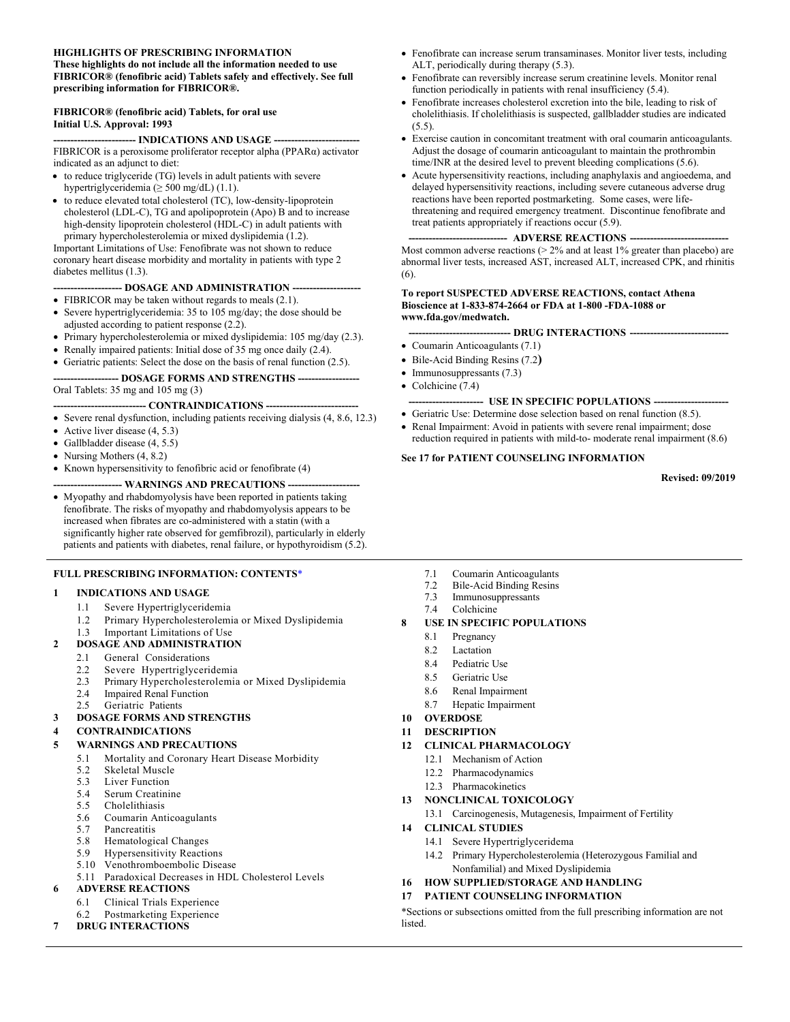#### **HIGHLIGHTS OF PRESCRIBING INFORMATION These highlights do not include all the information needed to use FIBRICOR® (fenofibric acid) Tablets safely and effectively. See full prescribing information for FIBRICOR®.**

#### **FIBRICOR® (fenofibric acid) Tablets, for oral use Initial U.S. Approval: 1993**

-- **INDICATIONS AND USAGE ---**FIBRICOR is a peroxisome proliferator receptor alpha (PPARα) activator indicated as an adjunct to diet:

- to reduce triglyceride (TG) levels in adult patients with severe hypertriglyceridemia ( $\geq$  500 mg/dL) (1.1).
- to reduce elevated total cholesterol (TC), low-density-lipoprotein cholesterol (LDL-C), TG and apolipoprotein (Apo) B and to increase high-density lipoprotein cholesterol (HDL-C) in adult patients with primary hypercholesterolemia or mixed dyslipidemia (1.2).

Important Limitations of Use: Fenofibrate was not shown to reduce coronary heart disease morbidity and mortality in patients with type 2 diabetes mellitus (1.3).

#### **-------------------- DOSAGE AND ADMINISTRATION --------------------**

- FIBRICOR may be taken without regards to meals (2.1).
- Severe hypertriglyceridemia: 35 to 105 mg/day; the dose should be adjusted according to patient response (2.2).
- Primary hypercholesterolemia or mixed dyslipidemia: 105 mg/day (2.3).
- Renally impaired patients: Initial dose of 35 mg once daily (2.4).

• Geriatric patients: Select the dose on the basis of renal function (2.5).

#### **------------------- DOSAGE FORMS AND STRENGTHS ------------------**

Oral Tablets: 35 mg and 105 mg (3)

- **CONTRAINDICATIONS** --• Severe renal dysfunction, including patients receiving dialysis (4, 8.6, 12.3)

- 
- Active liver disease (4, 5.3)
- Gallbladder disease (4, 5.5)
- Nursing Mothers (4, 8.2)

• Known hypersensitivity to fenofibric acid or fenofibrate (4) --- WARNINGS AND PRECAUTIONS --

• Myopathy and rhabdomyolysis have been reported in patients taking fenofibrate. The risks of myopathy and rhabdomyolysis appears to be increased when fibrates are co-administered with a statin (with a significantly higher rate observed for gemfibrozil), particularly in elderly patients and patients with diabetes, renal failure, or hypothyroidism (5.2).

#### **FULL PRESCRIBING INFORMATION: CONTENTS**[\\*](#page-1-0)

#### **1 INDICATIONS AND USAGE**

- 1.1 Severe Hypertriglyceridemia
- 1.2 Primary Hypercholesterolemia or Mixed Dyslipidemia

#### 1.3 Important Limitations of Use

- **2 DOSAGE AND ADMINISTRATION**
	- 2.1 General Considerations
	- 2.2 Severe Hypertriglyceridemia<br>2.3 Primary Hypercholesterolemia
	- 2.3 Primary Hypercholesterolemia or Mixed Dyslipidemia
		- **Impaired Renal Function**
	- 2.5 Geriatric Patients

### **3 DOSAGE FORMS AND STRENGTHS**

#### **4 CONTRAINDICATIONS**

- **5 WARNINGS AND PRECAUTIONS**
	- 5.1 Mortality and Coronary Heart Disease Morbidity<br>5.2 Skeletal Muscle
	- Skeletal Muscle
	- 5.3 Liver Function<br>5.4 Serum Creatini
	- Serum Creatinine
	- 5.5 Cholelithiasis
	- 5.6 Coumarin Anticoagulants
	- 5.7 Pancreatitis
	- 5.8 Hematological Changes
	- 5.9 Hypersensitivity Reactions
	- 5.10 Venothromboembolic Disease
	- 5.11 Paradoxical Decreases in HDL Cholesterol Levels **6 ADVERSE REACTIONS**
	- 6.1 Clinical Trials Experience
	- 6.2 Postmarketing Experience

#### **7 DRUG INTERACTIONS**

- Fenofibrate can increase serum transaminases. Monitor liver tests, including ALT, periodically during therapy (5.3).
- Fenofibrate can reversibly increase serum creatinine levels. Monitor renal function periodically in patients with renal insufficiency (5.4).
- Fenofibrate increases cholesterol excretion into the bile, leading to risk of cholelithiasis. If cholelithiasis is suspected, gallbladder studies are indicated  $(5.5)$ .
- Exercise caution in concomitant treatment with oral coumarin anticoagulants. Adjust the dosage of coumarin anticoagulant to maintain the prothrombin time/INR at the desired level to prevent bleeding complications (5.6).
- Acute hypersensitivity reactions, including anaphylaxis and angioedema, and delayed hypersensitivity reactions, including severe cutaneous adverse drug reactions have been reported postmarketing. Some cases, were lifethreatening and required emergency treatment. Discontinue fenofibrate and treat patients appropriately if reactions occur (5.9).

#### -- **ADVERSE REACTIONS ---**

Most common adverse reactions (> 2% and at least 1% greater than placebo) are abnormal liver tests, increased AST, increased ALT, increased CPK, and rhinitis (6).

#### **To report SUSPECTED ADVERSE REACTIONS, contact Athena Bioscience at 1-833-874-2664 or FDA at 1-800 -FDA-1088 or [www.fda.gov/medwatch.](http://www.fda.gov/medwatch)**

#### **------------------------------ DRUG INTERACTIONS -----------------------------**

- Coumarin Anticoagulants (7.1)
- Bile-Acid Binding Resins (7.2**)**
- Immunosuppressants (7.3)
- Colchicine (7.4)
- **---------------------- USE IN SPECIFIC POPULATIONS ----------------------**
- Geriatric Use: Determine dose selection based on renal function (8.5).
- Renal Impairment: Avoid in patients with severe renal impairment; dose reduction required in patients with mild-to- moderate renal impairment (8.6)

#### **See 17 for PATIENT COUNSELING INFORMATION**

**Revised: 09/2019**

- 7.1 Coumarin Anticoagulants
- 7.2 Bile-Acid Binding Resins
- 7.3 Immunosuppressants Colchicine
- 

#### **8 USE IN SPECIFIC POPULATIONS**

- 8.1 Pregnancy
- 8.2 Lactation
- 8.4 Pediatric Use
- 8.5 Geriatric Use
- 8.6 Renal Impairment
- 8.7 Hepatic Impairment
- **10 OVERDOSE**
- **11 DESCRIPTION**
- **12 CLINICAL PHARMACOLOGY**
	- 12.1 Mechanism of Action
	- 12.2 Pharmacodynamics
	- 12.3 Pharmacokinetics
- **13 NONCLINICAL TOXICOLOGY**
	- 13.1 Carcinogenesis, Mutagenesis, Impairment of Fertility
- **14 CLINICAL STUDIES**
	- 14.1 Severe Hypertriglyceridema
	- 14.2 Primary Hypercholesterolemia (Heterozygous Familial and Nonfamilial) and Mixed Dyslipidemia
- **16 HOW SUPPLIED/STORAGE AND HANDLING**
- **17 PATIENT COUNSELING INFORMATION**

\*Sections or subsections omitted from the full prescribing information are not listed.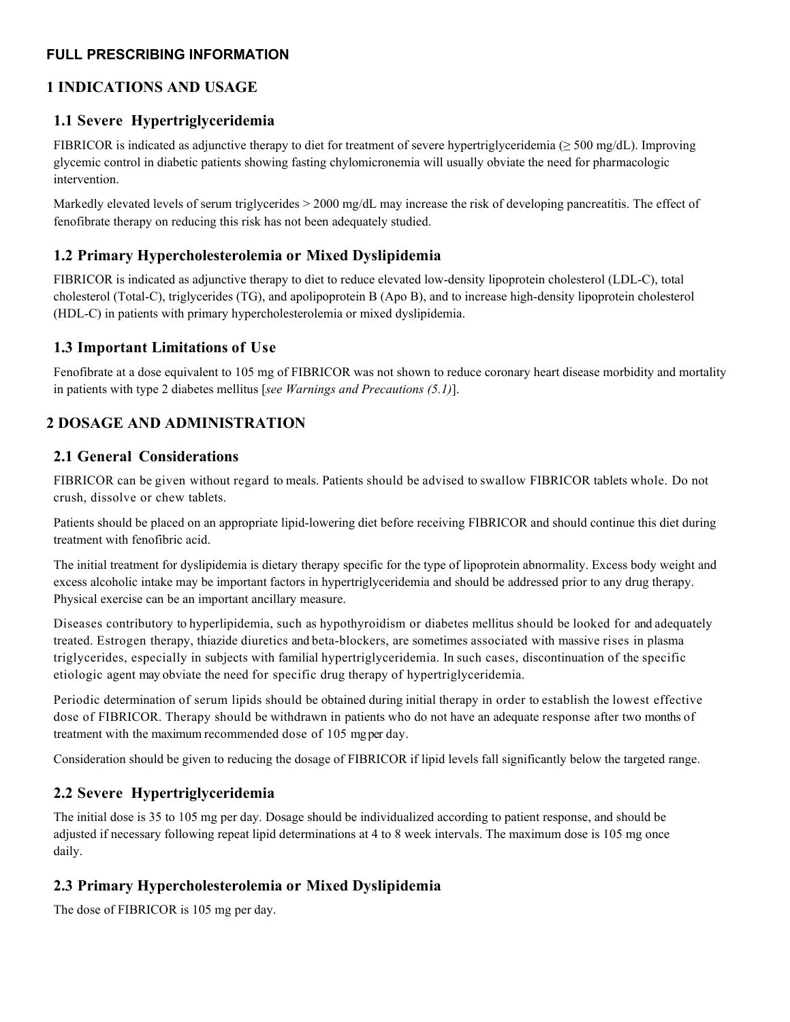#### <span id="page-1-0"></span>**FULL PRESCRIBING INFORMATION**

## **1 INDICATIONS AND USAGE**

### **1.1 Severe Hypertriglyceridemia**

FIBRICOR is indicated as adjunctive therapy to diet for treatment of severe hypertriglyceridemia ( $\geq$  500 mg/dL). Improving glycemic control in diabetic patients showing fasting chylomicronemia will usually obviate the need for pharmacologic intervention.

Markedly elevated levels of serum triglycerides  $> 2000$  mg/dL may increase the risk of developing pancreatitis. The effect of fenofibrate therapy on reducing this risk has not been adequately studied.

## **1.2 Primary Hypercholesterolemia or Mixed Dyslipidemia**

FIBRICOR is indicated as adjunctive therapy to diet to reduce elevated low-density lipoprotein cholesterol (LDL-C), total cholesterol (Total-C), triglycerides (TG), and apolipoprotein B (Apo B), and to increase high-density lipoprotein cholesterol (HDL-C) in patients with primary hypercholesterolemia or mixed dyslipidemia.

### **1.3 Important Limitations of Use**

Fenofibrate at a dose equivalent to 105 mg of FIBRICOR was not shown to reduce coronary heart disease morbidity and mortality in patients with type 2 diabetes mellitus [*see Warnings and Precautions (5.1)*].

# **2 DOSAGE AND ADMINISTRATION**

### **2.1 General Considerations**

FIBRICOR can be given without regard to meals. Patients should be advised to swallow FIBRICOR tablets whole. Do not crush, dissolve or chew tablets.

Patients should be placed on an appropriate lipid-lowering diet before receiving FIBRICOR and should continue this diet during treatment with fenofibric acid.

The initial treatment for dyslipidemia is dietary therapy specific for the type of lipoprotein abnormality. Excess body weight and excess alcoholic intake may be important factors in hypertriglyceridemia and should be addressed prior to any drug therapy. Physical exercise can be an important ancillary measure.

Diseases contributory to hyperlipidemia, such as hypothyroidism or diabetes mellitus should be looked for and adequately treated. Estrogen therapy, thiazide diuretics and beta-blockers, are sometimes associated with massive rises in plasma triglycerides, especially in subjects with familial hypertriglyceridemia. In such cases, discontinuation of the specific etiologic agent may obviate the need for specific drug therapy of hypertriglyceridemia.

Periodic determination of serum lipids should be obtained during initial therapy in order to establish the lowest effective dose of FIBRICOR. Therapy should be withdrawn in patients who do not have an adequate response after two months of treatment with the maximum recommended dose of 105 mg per day.

Consideration should be given to reducing the dosage of FIBRICOR if lipid levels fall significantly below the targeted range.

## **2.2 Severe Hypertriglyceridemia**

The initial dose is 35 to 105 mg per day. Dosage should be individualized according to patient response, and should be adjusted if necessary following repeat lipid determinations at 4 to 8 week intervals. The maximum dose is 105 mg once daily.

## **2.3 Primary Hypercholesterolemia or Mixed Dyslipidemia**

The dose of FIBRICOR is 105 mg per day.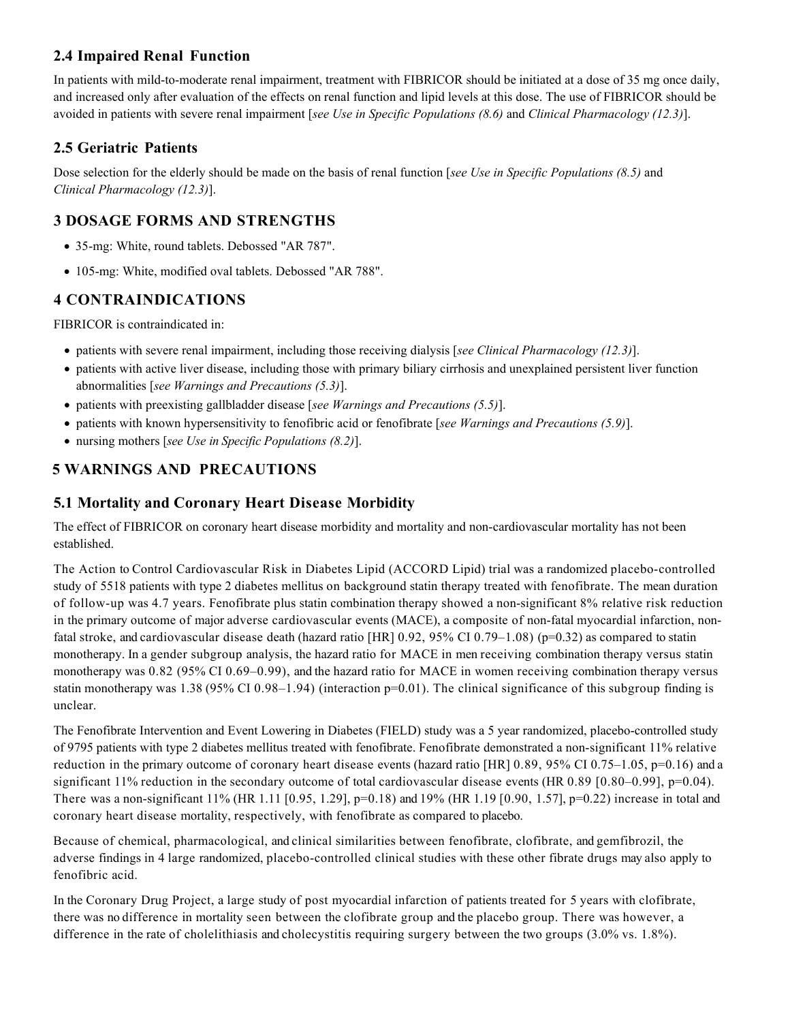# **2.4 Impaired Renal Function**

In patients with mild-to-moderate renal impairment, treatment with FIBRICOR should be initiated at a dose of 35 mg once daily, and increased only after evaluation of the effects on renal function and lipid levels at this dose. The use of FIBRICOR should be avoided in patients with severe renal impairment [*see Use in Specific Populations (8.6)* and *Clinical Pharmacology (12.3)*].

# **2.5 Geriatric Patients**

Dose selection for the elderly should be made on the basis of renal function [*see Use in Specific Populations (8.5)* and *Clinical Pharmacology (12.3)*].

## **3 DOSAGE FORMS AND STRENGTHS**

- 35-mg: White, round tablets. Debossed "AR 787".
- 105-mg: White, modified oval tablets. Debossed "AR 788".

## **4 CONTRAINDICATIONS**

FIBRICOR is contraindicated in:

- patients with severe renal impairment, including those receiving dialysis [*see Clinical Pharmacology (12.3)*].
- patients with active liver disease, including those with primary biliary cirrhosis and unexplained persistent liver function abnormalities [*see Warnings and Precautions (5.3)*].
- patients with preexisting gallbladder disease [*see Warnings and Precautions (5.5)*].
- patients with known hypersensitivity to fenofibric acid or fenofibrate [*see Warnings and Precautions (5.9)*].
- nursing mothers [*see Use in Specific Populations (8.2)*].

# **5 WARNINGS AND PRECAUTIONS**

## **5.1 Mortality and Coronary Heart Disease Morbidity**

The effect of FIBRICOR on coronary heart disease morbidity and mortality and non-cardiovascular mortality has not been established.

The Action to Control Cardiovascular Risk in Diabetes Lipid (ACCORD Lipid) trial was a randomized placebo-controlled study of 5518 patients with type 2 diabetes mellitus on background statin therapy treated with fenofibrate. The mean duration of follow-up was 4.7 years. Fenofibrate plus statin combination therapy showed a non-significant 8% relative risk reduction in the primary outcome of major adverse cardiovascular events (MACE), a composite of non-fatal myocardial infarction, nonfatal stroke, and cardiovascular disease death (hazard ratio [HR]  $0.92$ ,  $95\%$  CI  $0.79-1.08$ ) (p=0.32) as compared to statin monotherapy. In a gender subgroup analysis, the hazard ratio for MACE in men receiving combination therapy versus statin monotherapy was 0.82 (95% CI 0.69–0.99), and the hazard ratio for MACE in women receiving combination therapy versus statin monotherapy was 1.38 (95% CI 0.98–1.94) (interaction  $p=0.01$ ). The clinical significance of this subgroup finding is unclear.

The Fenofibrate Intervention and Event Lowering in Diabetes (FIELD) study was a 5 year randomized, placebo-controlled study of 9795 patients with type 2 diabetes mellitus treated with fenofibrate. Fenofibrate demonstrated a non-significant 11% relative reduction in the primary outcome of coronary heart disease events (hazard ratio  $[HR]$  0.89, 95% CI 0.75–1.05, p=0.16) and a significant 11% reduction in the secondary outcome of total cardiovascular disease events (HR 0.89 [0.80–0.99], p=0.04). There was a non-significant 11% (HR 1.11 [0.95, 1.29], p=0.18) and 19% (HR 1.19 [0.90, 1.57], p=0.22) increase in total and coronary heart disease mortality, respectively, with fenofibrate as compared to placebo.

Because of chemical, pharmacological, and clinical similarities between fenofibrate, clofibrate, and gemfibrozil, the adverse findings in 4 large randomized, placebo-controlled clinical studies with these other fibrate drugs may also apply to fenofibric acid.

In the Coronary Drug Project, a large study of post myocardial infarction of patients treated for 5 years with clofibrate, there was no difference in mortality seen between the clofibrate group and the placebo group. There was however, a difference in the rate of cholelithiasis and cholecystitis requiring surgery between the two groups (3.0% vs. 1.8%).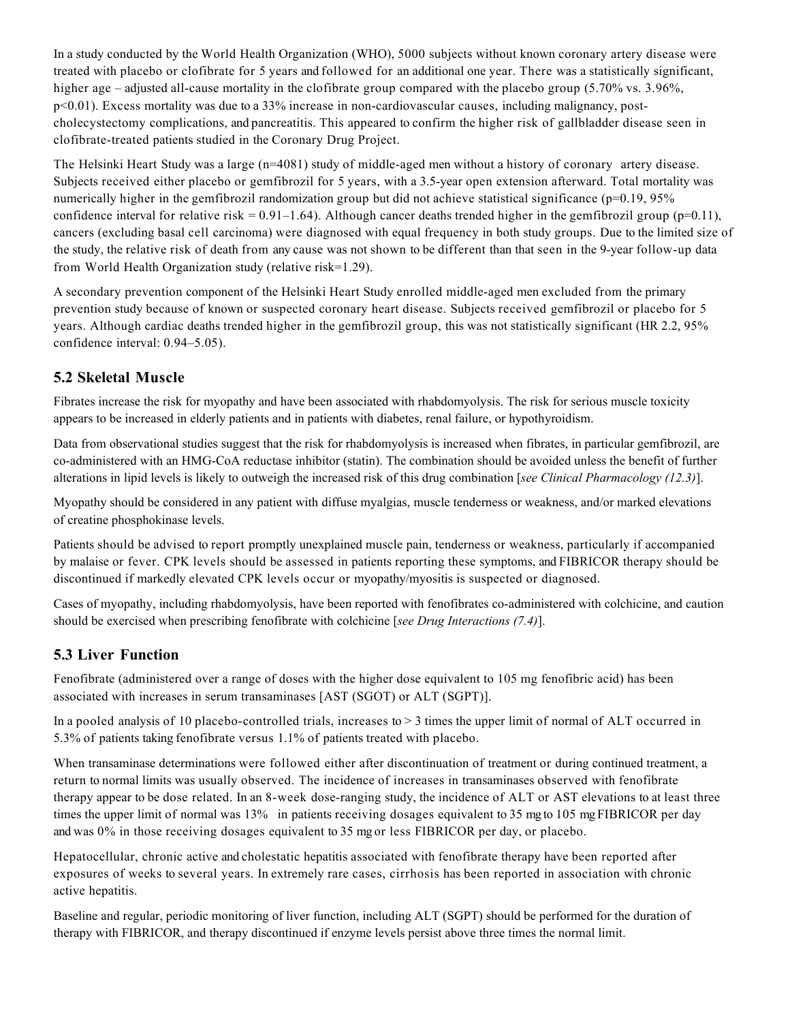In a study conducted by the World Health Organization (WHO), 5000 subjects without known coronary artery disease were treated with placebo or clofibrate for 5 years and followed for an additional one year. There was a statistically significant, higher age – adjusted all-cause mortality in the clofibrate group compared with the placebo group (5.70% vs. 3.96%, p<0.01). Excess mortality was due to a 33% increase in non-cardiovascular causes, including malignancy, postcholecystectomy complications, and pancreatitis. This appeared to confirm the higher risk of gallbladder disease seen in clofibrate-treated patients studied in the Coronary Drug Project.

The Helsinki Heart Study was a large (n=4081) study of middle-aged men without a history of coronary artery disease. Subjects received either placebo or gemfibrozil for 5 years, with a 3.5-year open extension afterward. Total mortality was numerically higher in the gemfibrozil randomization group but did not achieve statistical significance (p=0.19, 95% confidence interval for relative risk =  $0.91-1.64$ ). Although cancer deaths trended higher in the gemfibrozil group (p=0.11), cancers (excluding basal cell carcinoma) were diagnosed with equal frequency in both study groups. Due to the limited size of the study, the relative risk of death from any cause was not shown to be different than that seen in the 9-year follow-up data from World Health Organization study (relative risk=1.29).

A secondary prevention component of the Helsinki Heart Study enrolled middle-aged men excluded from the primary prevention study because of known or suspected coronary heart disease. Subjects received gemfibrozil or placebo for 5 years. Although cardiac deaths trended higher in the gemfibrozil group, this was not statistically significant (HR 2.2, 95% confidence interval: 0.94–5.05).

## **5.2 Skeletal Muscle**

Fibrates increase the risk for myopathy and have been associated with rhabdomyolysis. The risk for serious muscle toxicity appears to be increased in elderly patients and in patients with diabetes, renal failure, or hypothyroidism.

Data from observational studies suggest that the risk for rhabdomyolysis is increased when fibrates, in particular gemfibrozil, are co-administered with an HMG-CoA reductase inhibitor (statin). The combination should be avoided unless the benefit of further alterations in lipid levels is likely to outweigh the increased risk of this drug combination [*see Clinical Pharmacology (12.3)*].

Myopathy should be considered in any patient with diffuse myalgias, muscle tenderness or weakness, and/or marked elevations of creatine phosphokinase levels.

Patients should be advised to report promptly unexplained muscle pain, tenderness or weakness, particularly if accompanied by malaise or fever. CPK levels should be assessed in patients reporting these symptoms, and FIBRICOR therapy should be discontinued if markedly elevated CPK levels occur or myopathy/myositis is suspected or diagnosed.

Cases of myopathy, including rhabdomyolysis, have been reported with fenofibrates co-administered with colchicine, and caution should be exercised when prescribing fenofibrate with colchicine [*see Drug Interactions (7.4)*].

#### **5.3 Liver Function**

Fenofibrate (administered over a range of doses with the higher dose equivalent to 105 mg fenofibric acid) has been associated with increases in serum transaminases [AST (SGOT) or ALT (SGPT)].

In a pooled analysis of 10 placebo-controlled trials, increases to > 3 times the upper limit of normal of ALT occurred in 5.3% of patients taking fenofibrate versus 1.1% of patients treated with placebo.

When transaminase determinations were followed either after discontinuation of treatment or during continued treatment, a return to normal limits was usually observed. The incidence of increases in transaminases observed with fenofibrate therapy appear to be dose related. In an 8-week dose-ranging study, the incidence of ALT or AST elevations to at least three times the upper limit of normal was 13% in patients receiving dosages equivalent to 35 mg to 105 mg FIBRICOR per day and was 0% in those receiving dosages equivalent to 35 mg or less FIBRICOR per day, or placebo.

Hepatocellular, chronic active and cholestatic hepatitis associated with fenofibrate therapy have been reported after exposures of weeks to several years. In extremely rare cases, cirrhosis has been reported in association with chronic active hepatitis.

Baseline and regular, periodic monitoring of liver function, including ALT (SGPT) should be performed for the duration of therapy with FIBRICOR, and therapy discontinued if enzyme levels persist above three times the normal limit.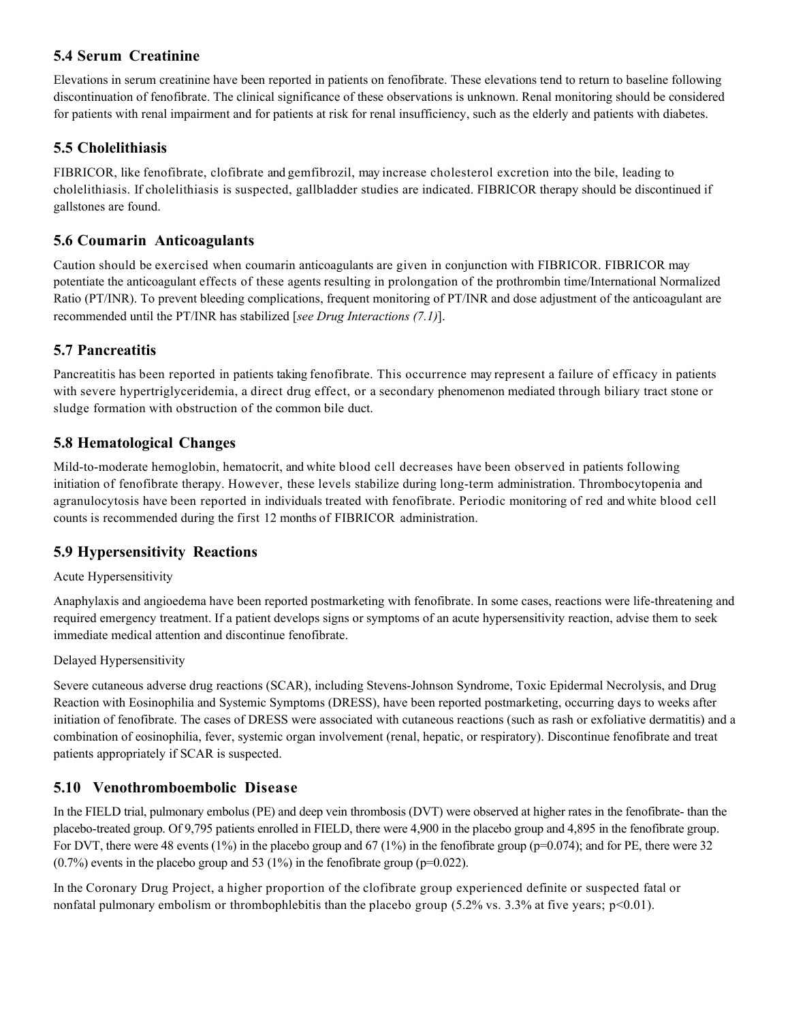## **5.4 Serum Creatinine**

Elevations in serum creatinine have been reported in patients on fenofibrate. These elevations tend to return to baseline following discontinuation of fenofibrate. The clinical significance of these observations is unknown. Renal monitoring should be considered for patients with renal impairment and for patients at risk for renal insufficiency, such as the elderly and patients with diabetes.

## **5.5 Cholelithiasis**

FIBRICOR, like fenofibrate, clofibrate and gemfibrozil, may increase cholesterol excretion into the bile, leading to cholelithiasis. If cholelithiasis is suspected, gallbladder studies are indicated. FIBRICOR therapy should be discontinued if gallstones are found.

# **5.6 Coumarin Anticoagulants**

Caution should be exercised when coumarin anticoagulants are given in conjunction with FIBRICOR. FIBRICOR may potentiate the anticoagulant effects of these agents resulting in prolongation of the prothrombin time/International Normalized Ratio (PT/INR). To prevent bleeding complications, frequent monitoring of PT/INR and dose adjustment of the anticoagulant are recommended until the PT/INR has stabilized [*see Drug Interactions (7.1)*].

## **5.7 Pancreatitis**

Pancreatitis has been reported in patients taking fenofibrate. This occurrence may represent a failure of efficacy in patients with severe hypertriglyceridemia, a direct drug effect, or a secondary phenomenon mediated through biliary tract stone or sludge formation with obstruction of the common bile duct.

## **5.8 Hematological Changes**

Mild-to-moderate hemoglobin, hematocrit, and white blood cell decreases have been observed in patients following initiation of fenofibrate therapy. However, these levels stabilize during long-term administration. Thrombocytopenia and agranulocytosis have been reported in individuals treated with fenofibrate. Periodic monitoring of red and white blood cell counts is recommended during the first 12 months of FIBRICOR administration.

## **5.9 Hypersensitivity Reactions**

#### Acute Hypersensitivity

Anaphylaxis and angioedema have been reported postmarketing with fenofibrate. In some cases, reactions were life-threatening and required emergency treatment. If a patient develops signs or symptoms of an acute hypersensitivity reaction, advise them to seek immediate medical attention and discontinue fenofibrate.

#### Delayed Hypersensitivity

Severe cutaneous adverse drug reactions (SCAR), including Stevens-Johnson Syndrome, Toxic Epidermal Necrolysis, and Drug Reaction with Eosinophilia and Systemic Symptoms (DRESS), have been reported postmarketing, occurring days to weeks after initiation of fenofibrate. The cases of DRESS were associated with cutaneous reactions (such as rash or exfoliative dermatitis) and a combination of eosinophilia, fever, systemic organ involvement (renal, hepatic, or respiratory). Discontinue fenofibrate and treat patients appropriately if SCAR is suspected.

## **5.10 Venothromboembolic Disease**

In the FIELD trial, pulmonary embolus (PE) and deep vein thrombosis (DVT) were observed at higher rates in the fenofibrate- than the placebo-treated group. Of 9,795 patients enrolled in FIELD, there were 4,900 in the placebo group and 4,895 in the fenofibrate group. For DVT, there were 48 events (1%) in the placebo group and 67 (1%) in the fenofibrate group (p=0.074); and for PE, there were 32  $(0.7\%)$  events in the placebo group and 53 (1%) in the fenofibrate group (p=0.022).

In the Coronary Drug Project, a higher proportion of the clofibrate group experienced definite or suspected fatal or nonfatal pulmonary embolism or thrombophlebitis than the placebo group (5.2% vs. 3.3% at five years; p<0.01).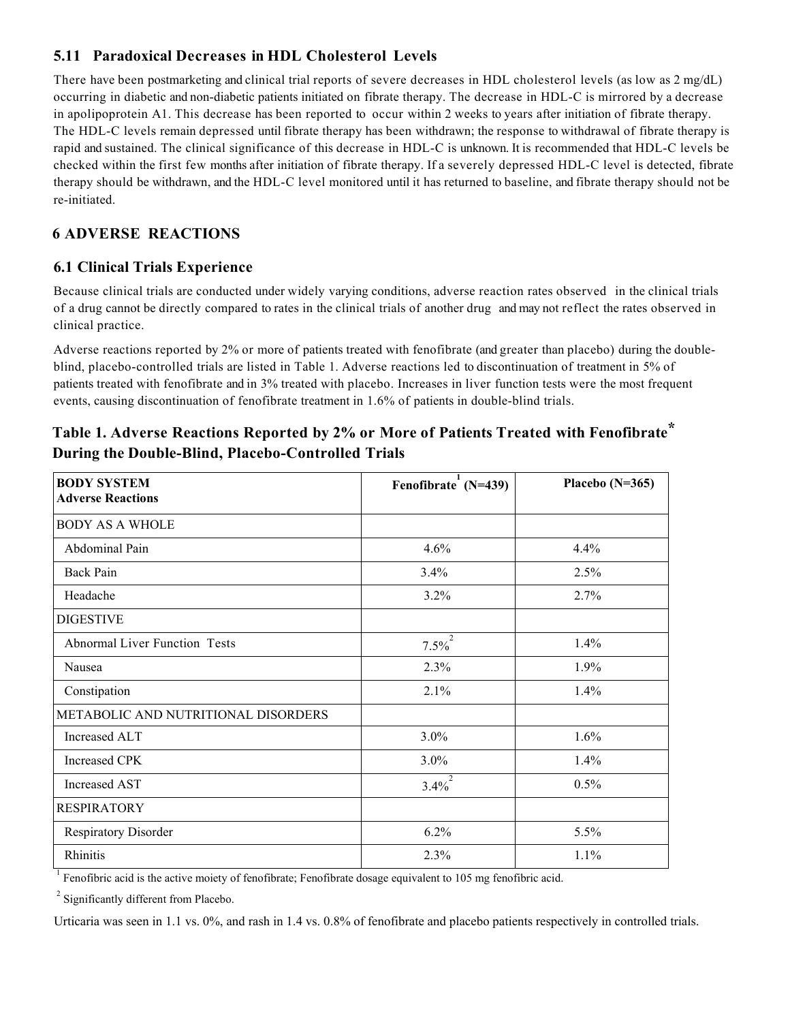# **5.11 Paradoxical Decreases in HDL Cholesterol Levels**

There have been postmarketing and clinical trial reports of severe decreases in HDL cholesterol levels (as low as 2 mg/dL) occurring in diabetic and non-diabetic patients initiated on fibrate therapy. The decrease in HDL-C is mirrored by a decrease in apolipoprotein A1. This decrease has been reported to occur within 2 weeks to years after initiation of fibrate therapy. The HDL-C levels remain depressed until fibrate therapy has been withdrawn; the response to withdrawal of fibrate therapy is rapid and sustained. The clinical significance of this decrease in HDL-C is unknown. It is recommended that HDL-C levels be checked within the first few months after initiation of fibrate therapy. If a severely depressed HDL-C level is detected, fibrate therapy should be withdrawn, and the HDL-C level monitored until it has returned to baseline, and fibrate therapy should not be re-initiated.

# **6 ADVERSE REACTIONS**

## **6.1 Clinical Trials Experience**

Because clinical trials are conducted under widely varying conditions, adverse reaction rates observed in the clinical trials of a drug cannot be directly compared to rates in the clinical trials of another drug and may not reflect the rates observed in clinical practice.

Adverse reactions reported by 2% or more of patients treated with fenofibrate (and greater than placebo) during the doubleblind, placebo-controlled trials are listed in Table 1. Adverse reactions led to discontinuation of treatment in 5% of patients treated with fenofibrate and in 3% treated with placebo. Increases in liver function tests were the most frequent events, causing discontinuation of fenofibrate treatment in 1.6% of patients in double-blind trials.

| <b>BODY SYSTEM</b><br><b>Adverse Reactions</b> | Fenofibrate <sup>1</sup> (N=439) | Placebo $(N=365)$ |
|------------------------------------------------|----------------------------------|-------------------|
| <b>BODY AS A WHOLE</b>                         |                                  |                   |
| Abdominal Pain                                 | 4.6%                             | 4.4%              |
| <b>Back Pain</b>                               | 3.4%                             | 2.5%              |
| Headache                                       | $3.2\%$                          | 2.7%              |
| <b>DIGESTIVE</b>                               |                                  |                   |
| <b>Abnormal Liver Function Tests</b>           | $7.5\%^{2}$                      | 1.4%              |
| Nausea                                         | 2.3%                             | $1.9\%$           |
| Constipation                                   | 2.1%                             | 1.4%              |
| METABOLIC AND NUTRITIONAL DISORDERS            |                                  |                   |
| <b>Increased ALT</b>                           | 3.0%                             | 1.6%              |
| Increased CPK                                  | 3.0%                             | 1.4%              |
| Increased AST                                  | $3.4\%^{2}$                      | $0.5\%$           |
| <b>RESPIRATORY</b>                             |                                  |                   |
| Respiratory Disorder                           | 6.2%                             | 5.5%              |
| Rhinitis                                       | 2.3%                             | 1.1%              |

# **Table 1. Adverse Reactions Reported by 2% or More of Patients Treated with Fenofibrate\* During the Double-Blind, Placebo-Controlled Trials**

<sup>1</sup> Fenofibric acid is the active moiety of fenofibrate; Fenofibrate dosage equivalent to 105 mg fenofibric acid.

<sup>2</sup> Significantly different from Placebo.

Urticaria was seen in 1.1 vs. 0%, and rash in 1.4 vs. 0.8% of fenofibrate and placebo patients respectively in controlled trials.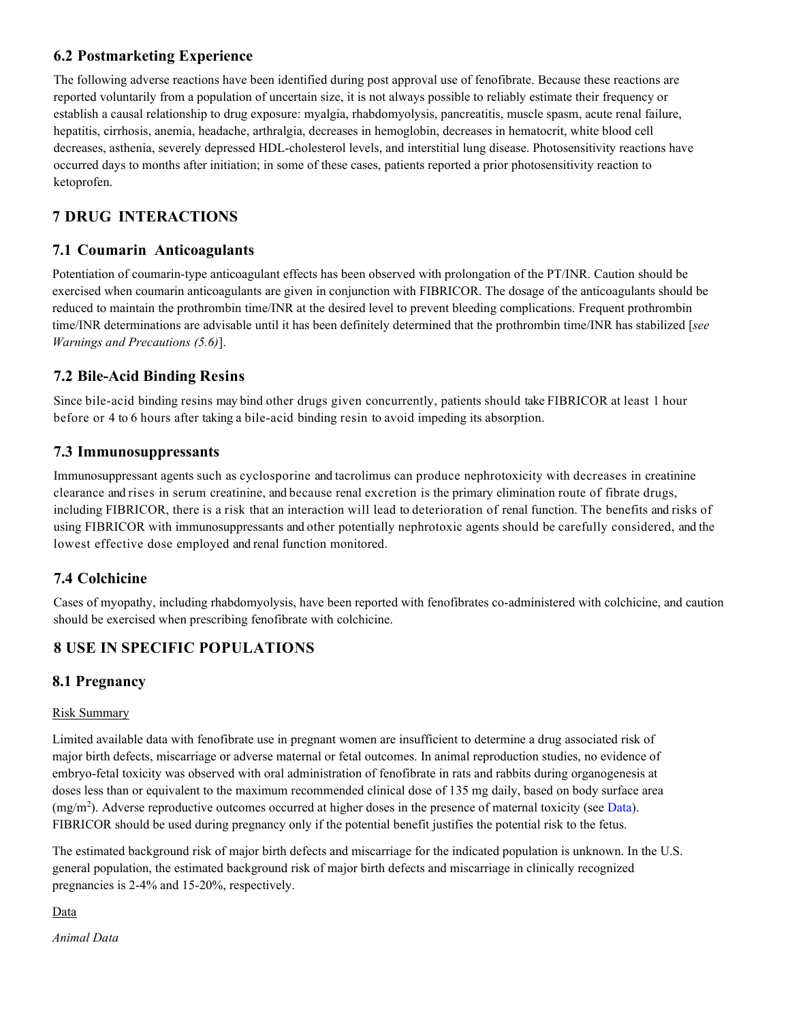## **6.2 Postmarketing Experience**

The following adverse reactions have been identified during post approval use of fenofibrate. Because these reactions are reported voluntarily from a population of uncertain size, it is not always possible to reliably estimate their frequency or establish a causal relationship to drug exposure: myalgia, rhabdomyolysis, pancreatitis, muscle spasm, acute renal failure, hepatitis, cirrhosis, anemia, headache, arthralgia, decreases in hemoglobin, decreases in hematocrit, white blood cell decreases, asthenia, severely depressed HDL-cholesterol levels, and interstitial lung disease. Photosensitivity reactions have occurred days to months after initiation; in some of these cases, patients reported a prior photosensitivity reaction to ketoprofen.

# **7 DRUG INTERACTIONS**

## **7.1 Coumarin Anticoagulants**

Potentiation of coumarin-type anticoagulant effects has been observed with prolongation of the PT/INR. Caution should be exercised when coumarin anticoagulants are given in conjunction with FIBRICOR. The dosage of the anticoagulants should be reduced to maintain the prothrombin time/INR at the desired level to prevent bleeding complications. Frequent prothrombin time/INR determinations are advisable until it has been definitely determined that the prothrombin time/INR has stabilized [*see Warnings and Precautions (5.6)*].

## **7.2 Bile-Acid Binding Resins**

Since bile-acid binding resins may bind other drugs given concurrently, patients should take FIBRICOR at least 1 hour before or 4 to 6 hours after taking a bile-acid binding resin to avoid impeding its absorption.

### **7.3 Immunosuppressants**

Immunosuppressant agents such as cyclosporine and tacrolimus can produce nephrotoxicity with decreases in creatinine clearance and rises in serum creatinine, and because renal excretion is the primary elimination route of fibrate drugs, including FIBRICOR, there is a risk that an interaction will lead to deterioration of renal function. The benefits and risks of using FIBRICOR with immunosuppressants and other potentially nephrotoxic agents should be carefully considered, and the lowest effective dose employed and renal function monitored.

## **7.4 Colchicine**

Cases of myopathy, including rhabdomyolysis, have been reported with fenofibrates co-administered with colchicine, and caution should be exercised when prescribing fenofibrate with colchicine.

# **8 USE IN SPECIFIC POPULATIONS**

#### **8.1 Pregnancy**

#### Risk Summary

Limited available data with fenofibrate use in pregnant women are insufficient to determine a drug associated risk of major birth defects, miscarriage or adverse maternal or fetal outcomes. In animal reproduction studies, no evidence of embryo-fetal toxicity was observed with oral administration of fenofibrate in rats and rabbits during organogenesis at doses less than or equivalent to the maximum recommended clinical dose of 135 mg daily, based on body surface area  $(mg/m<sup>2</sup>)$ . Adverse reproductive outcomes occurred at higher doses in the presence of maternal toxicity (see Data). FIBRICOR should be used during pregnancy only if the potential benefit justifies the potential risk to the fetus.

The estimated background risk of major birth defects and miscarriage for the indicated population is unknown. In the U.S. general population, the estimated background risk of major birth defects and miscarriage in clinically recognized pregnancies is 2-4% and 15-20%, respectively.

Data

*Animal Data*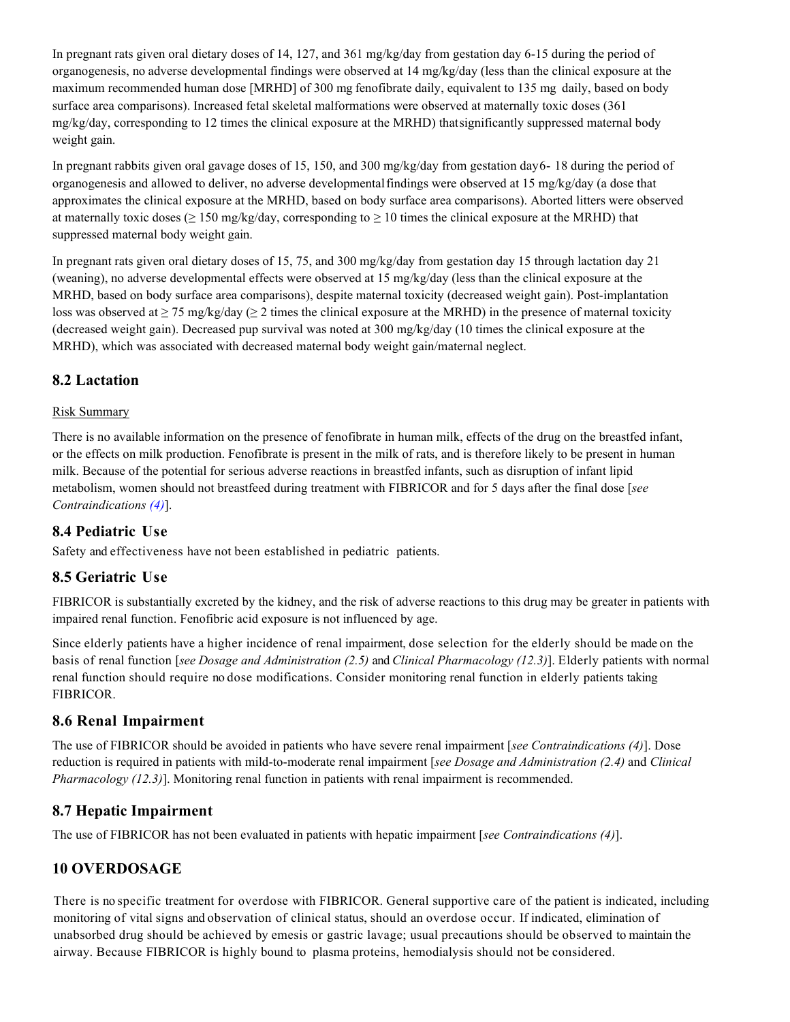In pregnant rats given oral dietary doses of 14, 127, and 361 mg/kg/day from gestation day 6-15 during the period of organogenesis, no adverse developmental findings were observed at  $14 \text{ mg/kg/day}$  (less than the clinical exposure at the maximum recommended human dose [MRHD] of 300 mg fenofibrate daily, equivalent to 135 mg daily, based on body surface area comparisons). Increased fetal skeletal malformations were observed at maternally toxic doses (361 mg/kg/day, corresponding to 12 times the clinical exposure at the MRHD) thatsignificantly suppressed maternal body weight gain.

In pregnant rabbits given oral gavage doses of 15, 150, and 300 mg/kg/day from gestation day6- 18 during the period of organogenesis and allowed to deliver, no adverse developmentalfindings were observed at 15 mg/kg/day (a dose that approximates the clinical exposure at the MRHD, based on body surface area comparisons). Aborted litters were observed at maternally toxic doses ( $\geq 150$  mg/kg/day, corresponding to  $\geq 10$  times the clinical exposure at the MRHD) that suppressed maternal body weight gain.

In pregnant rats given oral dietary doses of 15, 75, and 300 mg/kg/day from gestation day 15 through lactation day 21 (weaning), no adverse developmental effects were observed at 15 mg/kg/day (less than the clinical exposure at the MRHD, based on body surface area comparisons), despite maternal toxicity (decreased weight gain). Post-implantation loss was observed at  $\geq$  75 mg/kg/day ( $\geq$  2 times the clinical exposure at the MRHD) in the presence of maternal toxicity (decreased weight gain). Decreased pup survival was noted at 300 mg/kg/day (10 times the clinical exposure at the MRHD), which was associated with decreased maternal body weight gain/maternal neglect.

## **8.2 Lactation**

#### Risk Summary

There is no available information on the presence of fenofibrate in human milk, effects of the drug on the breastfed infant, or the effects on milk production. Fenofibrate is present in the milk of rats, and is therefore likely to be present in human milk. Because of the potential for serious adverse reactions in breastfed infants, such as disruption of infant lipid metabolism, women should not breastfeed during treatment with FIBRICOR and for 5 days after the final dose [*see Contraindications (4)*].

#### **8.4 Pediatric Use**

Safety and effectiveness have not been established in pediatric patients.

#### **8.5 Geriatric Use**

FIBRICOR is substantially excreted by the kidney, and the risk of adverse reactions to this drug may be greater in patients with impaired renal function. Fenofibric acid exposure is not influenced by age.

Since elderly patients have a higher incidence of renal impairment, dose selection for the elderly should be made on the basis of renal function [*see Dosage and Administration (2.5)* and *Clinical Pharmacology (12.3)*]. Elderly patients with normal renal function should require no dose modifications. Consider monitoring renal function in elderly patients taking FIBRICOR.

#### **8.6 Renal Impairment**

The use of FIBRICOR should be avoided in patients who have severe renal impairment [*see Contraindications (4)*]. Dose reduction is required in patients with mild-to-moderate renal impairment [*see Dosage and Administration (2.4)* and *Clinical Pharmacology (12.3)*]. Monitoring renal function in patients with renal impairment is recommended.

## **8.7 Hepatic Impairment**

The use of FIBRICOR has not been evaluated in patients with hepatic impairment [*see Contraindications (4)*].

## **10 OVERDOSAGE**

There is no specific treatment for overdose with FIBRICOR. General supportive care of the patient is indicated, including monitoring of vital signs and observation of clinical status, should an overdose occur. If indicated, elimination of unabsorbed drug should be achieved by emesis or gastric lavage; usual precautions should be observed to maintain the airway. Because FIBRICOR is highly bound to plasma proteins, hemodialysis should not be considered.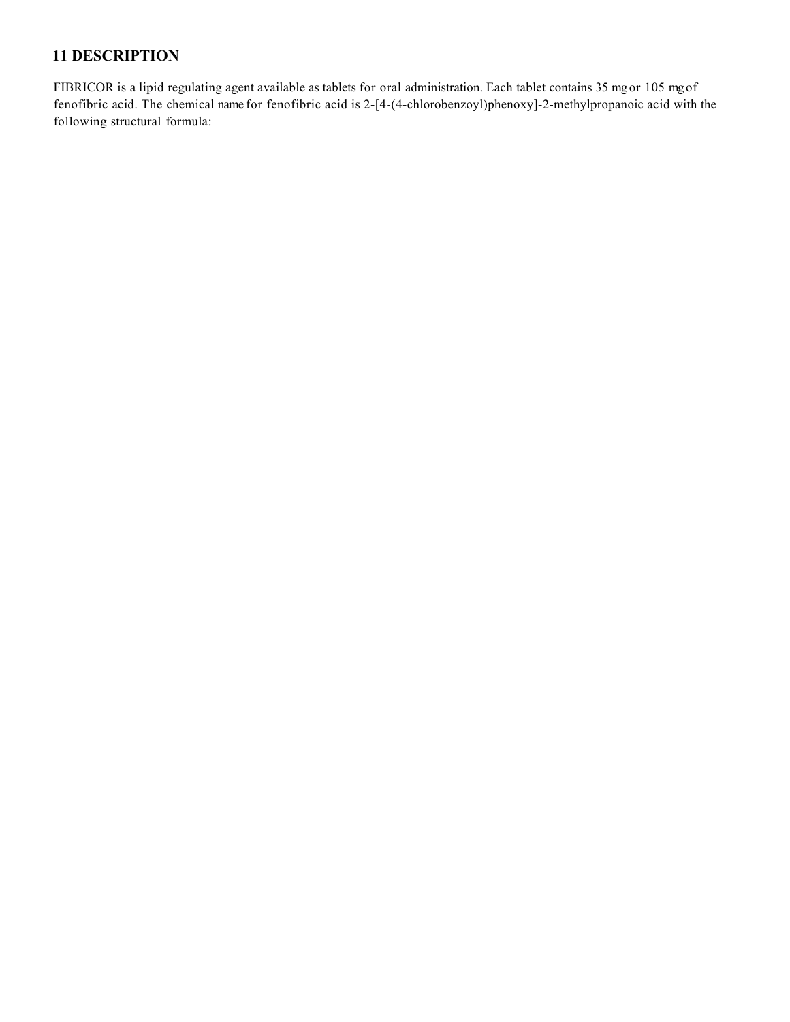## **11 DESCRIPTION**

FIBRICOR is a lipid regulating agent available as tablets for oral administration. Each tablet contains 35 mg or 105 mg of fenofibric acid. The chemical name for fenofibric acid is 2-[4-(4-chlorobenzoyl)phenoxy]-2-methylpropanoic acid with the following structural formula: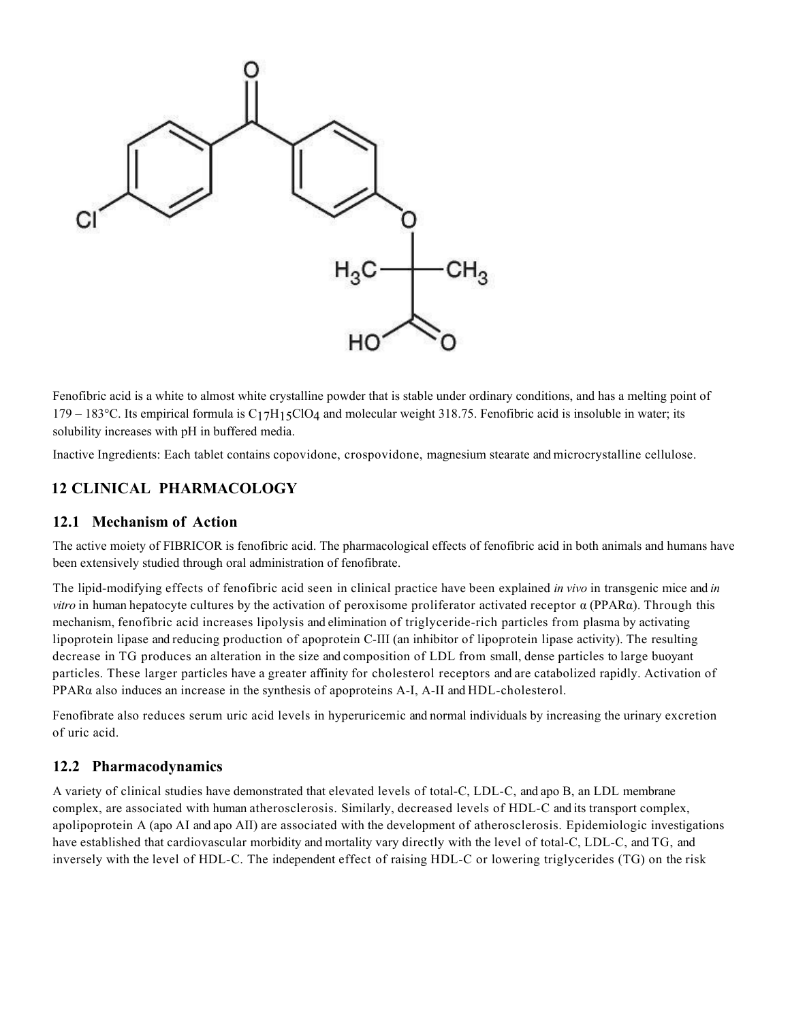

Fenofibric acid is a white to almost white crystalline powder that is stable under ordinary conditions, and has a melting point of 179 – 183<sup>o</sup>C. Its empirical formula is  $C_1$ 7H<sub>15</sub>ClO<sub>4</sub> and molecular weight 318.75. Fenofibric acid is insoluble in water; its solubility increases with pH in buffered media.

Inactive Ingredients: Each tablet contains copovidone, crospovidone, magnesium stearate and microcrystalline cellulose.

## **12 CLINICAL PHARMACOLOGY**

#### **12.1 Mechanism of Action**

The active moiety of FIBRICOR is fenofibric acid. The pharmacological effects of fenofibric acid in both animals and humans have been extensively studied through oral administration of fenofibrate.

The lipid-modifying effects of fenofibric acid seen in clinical practice have been explained *in vivo* in transgenic mice and *in vitro* in human hepatocyte cultures by the activation of peroxisome proliferator activated receptor α (PPARα). Through this mechanism, fenofibric acid increases lipolysis and elimination of triglyceride-rich particles from plasma by activating lipoprotein lipase and reducing production of apoprotein C-III (an inhibitor of lipoprotein lipase activity). The resulting decrease in TG produces an alteration in the size and composition of LDL from small, dense particles to large buoyant particles. These larger particles have a greater affinity for cholesterol receptors and are catabolized rapidly. Activation of PPARα also induces an increase in the synthesis of apoproteins A-I, A-II and HDL-cholesterol.

Fenofibrate also reduces serum uric acid levels in hyperuricemic and normal individuals by increasing the urinary excretion of uric acid.

#### **12.2 Pharmacodynamics**

A variety of clinical studies have demonstrated that elevated levels of total-C, LDL-C, and apo B, an LDL membrane complex, are associated with human atherosclerosis. Similarly, decreased levels of HDL-C and its transport complex, apolipoprotein A (apo AI and apo AII) are associated with the development of atherosclerosis. Epidemiologic investigations have established that cardiovascular morbidity and mortality vary directly with the level of total-C, LDL-C, and TG, and inversely with the level of HDL-C. The independent effect of raising HDL-C or lowering triglycerides (TG) on the risk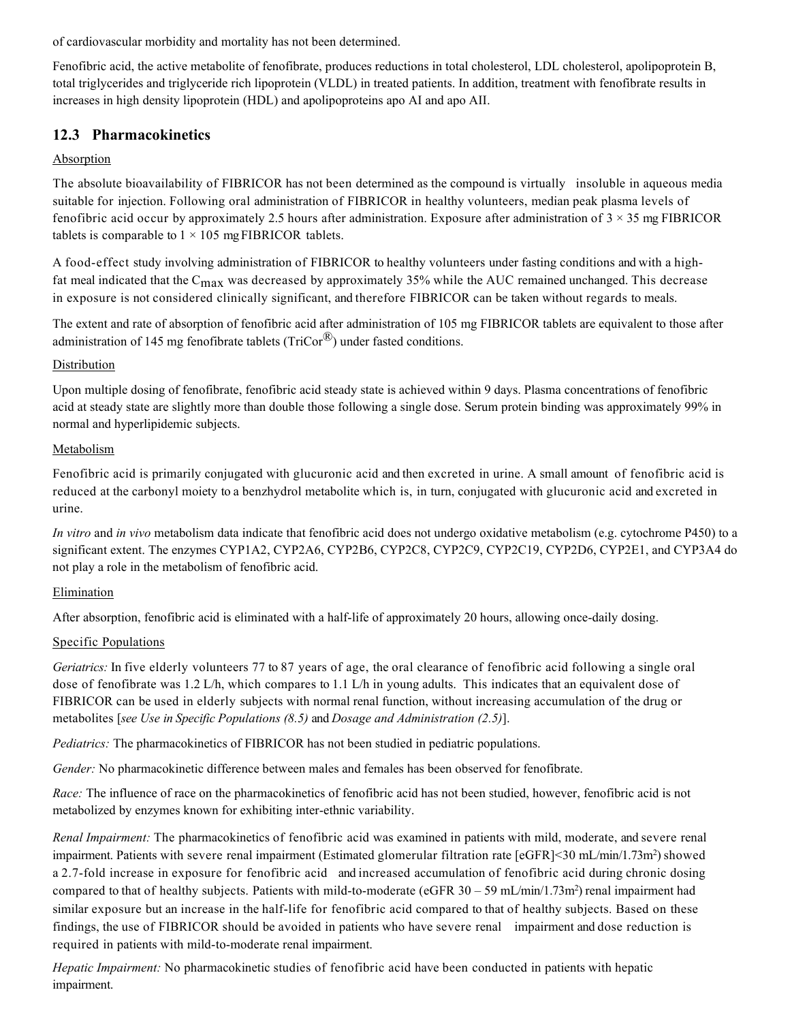of cardiovascular morbidity and mortality has not been determined.

Fenofibric acid, the active metabolite of fenofibrate, produces reductions in total cholesterol, LDL cholesterol, apolipoprotein B, total triglycerides and triglyceride rich lipoprotein (VLDL) in treated patients. In addition, treatment with fenofibrate results in increases in high density lipoprotein (HDL) and apolipoproteins apo AI and apo AII.

## **12.3 Pharmacokinetics**

#### Absorption

The absolute bioavailability of FIBRICOR has not been determined as the compound is virtually insoluble in aqueous media suitable for injection. Following oral administration of FIBRICOR in healthy volunteers, median peak plasma levels of fenofibric acid occur by approximately 2.5 hours after administration. Exposure after administration of  $3 \times 35$  mg FIBRICOR tablets is comparable to  $1 \times 105$  mg FIBRICOR tablets.

A food-effect study involving administration of FIBRICOR to healthy volunteers under fasting conditions and with a highfat meal indicated that the  $C_{\text{max}}$  was decreased by approximately 35% while the AUC remained unchanged. This decrease in exposure is not considered clinically significant, and therefore FIBRICOR can be taken without regards to meals.

The extent and rate of absorption of fenofibric acid after administration of 105 mg FIBRICOR tablets are equivalent to those after administration of 145 mg fenofibrate tablets ( $TrCor^{(1)}$ ) under fasted conditions.

#### **Distribution**

Upon multiple dosing of fenofibrate, fenofibric acid steady state is achieved within 9 days. Plasma concentrations of fenofibric acid at steady state are slightly more than double those following a single dose. Serum protein binding was approximately 99% in normal and hyperlipidemic subjects.

#### Metabolism

Fenofibric acid is primarily conjugated with glucuronic acid and then excreted in urine. A small amount of fenofibric acid is reduced at the carbonyl moiety to a benzhydrol metabolite which is, in turn, conjugated with glucuronic acid and excreted in urine.

*In vitro* and *in vivo* metabolism data indicate that fenofibric acid does not undergo oxidative metabolism (e.g. cytochrome P450) to a significant extent. The enzymes CYP1A2, CYP2A6, CYP2B6, CYP2C8, CYP2C9, CYP2C19, CYP2D6, CYP2E1, and CYP3A4 do not play a role in the metabolism of fenofibric acid.

#### Elimination

After absorption, fenofibric acid is eliminated with a half-life of approximately 20 hours, allowing once-daily dosing.

#### Specific Populations

*Geriatrics:* In five elderly volunteers 77 to 87 years of age, the oral clearance of fenofibric acid following a single oral dose of fenofibrate was 1.2 L/h, which compares to 1.1 L/h in young adults. This indicates that an equivalent dose of FIBRICOR can be used in elderly subjects with normal renal function, without increasing accumulation of the drug or metabolites [*see Use in Specific Populations (8.5)* and *Dosage and Administration (2.5)*].

*Pediatrics:* The pharmacokinetics of FIBRICOR has not been studied in pediatric populations.

*Gender:* No pharmacokinetic difference between males and females has been observed for fenofibrate.

*Race:* The influence of race on the pharmacokinetics of fenofibric acid has not been studied, however, fenofibric acid is not metabolized by enzymes known for exhibiting inter-ethnic variability.

*Renal Impairment:* The pharmacokinetics of fenofibric acid was examined in patients with mild, moderate, and severe renal impairment. Patients with severe renal impairment (Estimated glomerular filtration rate [eGFR]<30 mL/min/1.73m<sup>2</sup>) showed a 2.7-fold increase in exposure for fenofibric acid and increased accumulation of fenofibric acid during chronic dosing compared to that of healthy subjects. Patients with mild-to-moderate (eGFR  $30 - 59$  mL/min/1.73m<sup>2</sup>) renal impairment had similar exposure but an increase in the half-life for fenofibric acid compared to that of healthy subjects. Based on these findings, the use of FIBRICOR should be avoided in patients who have severe renal impairment and dose reduction is required in patients with mild-to-moderate renal impairment.

*Hepatic Impairment:* No pharmacokinetic studies of fenofibric acid have been conducted in patients with hepatic impairment.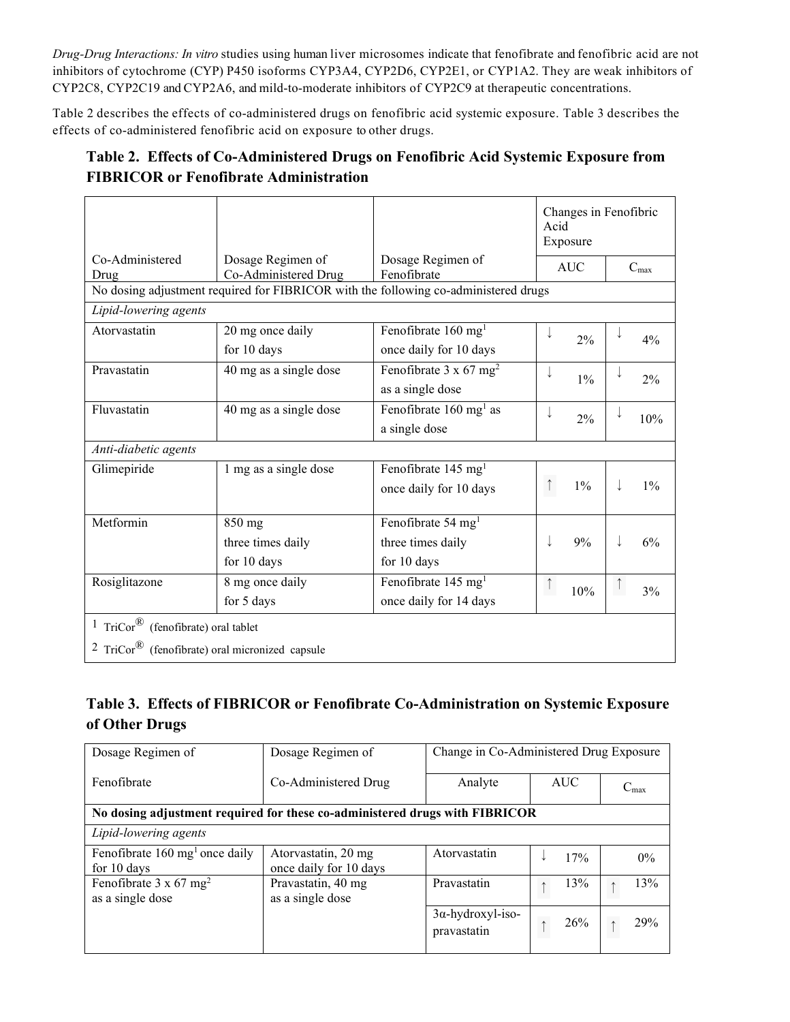*Drug-Drug Interactions: In vitro* studies using human liver microsomes indicate that fenofibrate and fenofibric acid are not inhibitors of cytochrome (CYP) P450 isoforms CYP3A4, CYP2D6, CYP2E1, or CYP1A2. They are weak inhibitors of CYP2C8, CYP2C19 and CYP2A6, and mild-to-moderate inhibitors of CYP2C9 at therapeutic concentrations.

Table 2 describes the effects of co-administered drugs on fenofibric acid systemic exposure. Table 3 describes the effects of co-administered fenofibric acid on exposure to other drugs.

# **Table 2. Effects of Co-Administered Drugs on Fenofibric Acid Systemic Exposure from FIBRICOR or Fenofibrate Administration**

|                                                                        |                                           |                                                                                     | Changes in Fenofibric<br>Acid<br>Exposure |                  |
|------------------------------------------------------------------------|-------------------------------------------|-------------------------------------------------------------------------------------|-------------------------------------------|------------------|
| Co-Administered<br>Drug                                                | Dosage Regimen of<br>Co-Administered Drug | Dosage Regimen of<br>Fenofibrate                                                    | <b>AUC</b>                                | $C_{\rm max}$    |
|                                                                        |                                           | No dosing adjustment required for FIBRICOR with the following co-administered drugs |                                           |                  |
| Lipid-lowering agents                                                  |                                           |                                                                                     |                                           |                  |
| Atorvastatin                                                           | 20 mg once daily                          | Fenofibrate 160 mg <sup>1</sup>                                                     |                                           |                  |
|                                                                        | for 10 days                               | once daily for 10 days                                                              | 2%                                        | 4%               |
| Pravastatin                                                            | 40 mg as a single dose                    | Fenofibrate $3 \times 67$ mg <sup>2</sup>                                           |                                           |                  |
|                                                                        |                                           | as a single dose                                                                    | $1\%$                                     | 2%               |
| Fluvastatin                                                            | 40 mg as a single dose                    | Fenofibrate 160 mg <sup>1</sup> as                                                  |                                           |                  |
|                                                                        |                                           | a single dose                                                                       | 2%                                        | 10%              |
| Anti-diabetic agents                                                   |                                           |                                                                                     |                                           |                  |
| Glimepiride                                                            | 1 mg as a single dose                     | Fenofibrate 145 mg <sup>1</sup>                                                     |                                           |                  |
|                                                                        |                                           | once daily for 10 days                                                              | $1\%$                                     | $1\%$            |
|                                                                        |                                           |                                                                                     |                                           |                  |
| Metformin                                                              | 850 mg                                    | Fenofibrate 54 mg <sup>1</sup>                                                      |                                           |                  |
|                                                                        | three times daily                         | three times daily                                                                   | 9%                                        | 6%               |
|                                                                        | for 10 days                               | for 10 days                                                                         |                                           |                  |
| Rosiglitazone                                                          | 8 mg once daily                           | Fenofibrate 145 mg <sup>1</sup>                                                     | 10%                                       | $\uparrow$<br>3% |
|                                                                        | for 5 days                                | once daily for 14 days                                                              |                                           |                  |
| <sup>1</sup> TriCor <sup>®</sup> (fenofibrate) oral tablet             |                                           |                                                                                     |                                           |                  |
| <sup>2</sup> TriCor <sup>®</sup> (fenofibrate) oral micronized capsule |                                           |                                                                                     |                                           |                  |

# **Table 3. Effects of FIBRICOR or Fenofibrate Co-Administration on Systemic Exposure of Other Drugs**

| Dosage Regimen of                                                           | Dosage Regimen of                             | Change in Co-Administered Drug Exposure |            |                     |  |  |  |  |  |
|-----------------------------------------------------------------------------|-----------------------------------------------|-----------------------------------------|------------|---------------------|--|--|--|--|--|
| Fenofibrate                                                                 | Co-Administered Drug                          | Analyte                                 | <b>AUC</b> | $\mathrm{C}_{\max}$ |  |  |  |  |  |
| No dosing adjustment required for these co-administered drugs with FIBRICOR |                                               |                                         |            |                     |  |  |  |  |  |
| Lipid-lowering agents                                                       |                                               |                                         |            |                     |  |  |  |  |  |
| Fenofibrate 160 mg <sup>1</sup> once daily<br>for 10 days                   | Atorvastatin, 20 mg<br>once daily for 10 days | Atorvastatin                            | 17%        | $0\%$               |  |  |  |  |  |
| Fenofibrate $3 \times 67$ mg <sup>2</sup><br>as a single dose               | Pravastatin, 40 mg<br>as a single dose        | Pravastatin                             | 13%        | 13%                 |  |  |  |  |  |
|                                                                             |                                               | $3\alpha$ -hydroxyl-iso-<br>pravastatin | 26%        | 29%                 |  |  |  |  |  |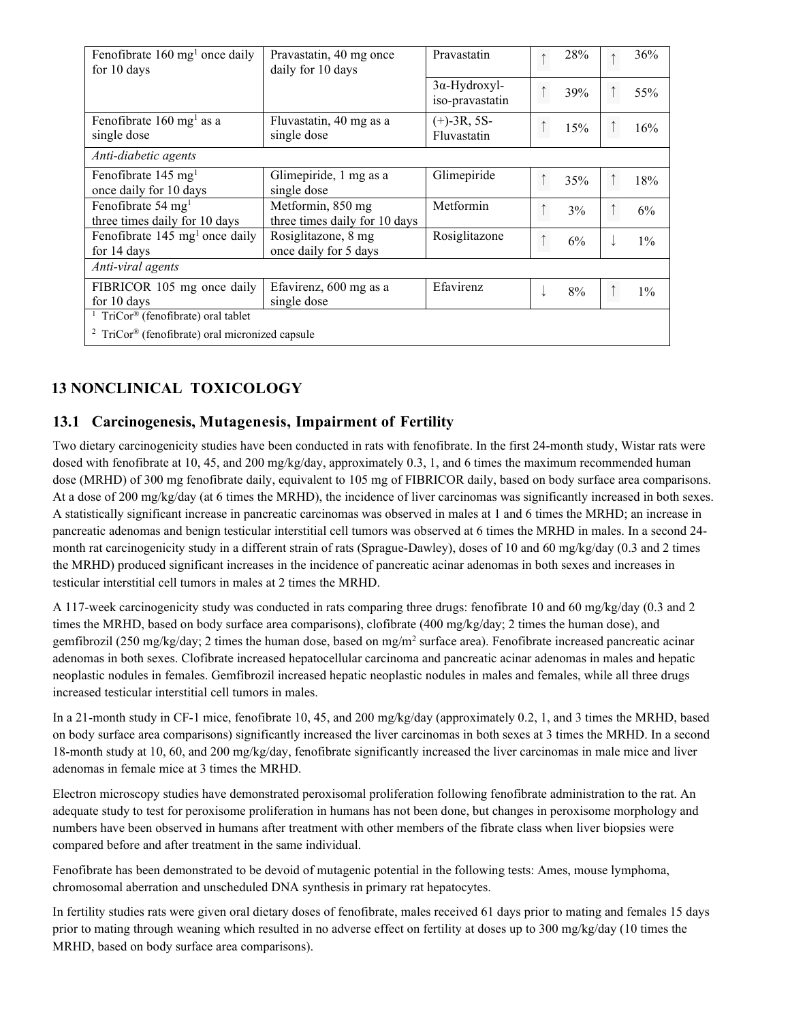| Fenofibrate $160 \text{ mg}^1$ once daily<br>for 10 days               | Pravastatin, 40 mg once<br>daily for 10 days       | Pravastatin                             |  | 28% |  | 36%   |  |  |  |
|------------------------------------------------------------------------|----------------------------------------------------|-----------------------------------------|--|-----|--|-------|--|--|--|
|                                                                        |                                                    | $3\alpha$ -Hydroxyl-<br>iso-pravastatin |  | 39% |  | 55%   |  |  |  |
| Fenofibrate $160 \text{ mg}^1$ as a<br>single dose                     | Fluvastatin, 40 mg as a<br>single dose             | $(+)$ -3R, 5S-<br>Fluvastatin           |  | 15% |  | 16%   |  |  |  |
| Anti-diabetic agents                                                   |                                                    |                                         |  |     |  |       |  |  |  |
| Fenofibrate 145 $mg1$<br>once daily for 10 days                        | Glimepiride, 1 mg as a<br>single dose              | Glimepiride                             |  | 35% |  | 18%   |  |  |  |
| Fenofibrate 54 mg <sup>1</sup><br>three times daily for 10 days        | Metformin, 850 mg<br>three times daily for 10 days | Metformin                               |  | 3%  |  | 6%    |  |  |  |
| Fenofibrate $145 \text{ mg}^1$ once daily<br>for 14 days               | Rosiglitazone, 8 mg<br>once daily for 5 days       | Rosiglitazone                           |  | 6%  |  | $1\%$ |  |  |  |
| Anti-viral agents                                                      |                                                    |                                         |  |     |  |       |  |  |  |
| FIBRICOR 105 mg once daily<br>for 10 days                              | Efavirenz, 600 mg as a<br>single dose              | Efavirenz                               |  | 8%  |  | $1\%$ |  |  |  |
| TriCor <sup>®</sup> (fenofibrate) oral tablet                          |                                                    |                                         |  |     |  |       |  |  |  |
| <sup>2</sup> TriCor <sup>®</sup> (fenofibrate) oral micronized capsule |                                                    |                                         |  |     |  |       |  |  |  |

# **13 NONCLINICAL TOXICOLOGY**

### **13.1 Carcinogenesis, Mutagenesis, Impairment of Fertility**

Two dietary carcinogenicity studies have been conducted in rats with fenofibrate. In the first 24-month study, Wistar rats were dosed with fenofibrate at 10, 45, and 200 mg/kg/day, approximately 0.3, 1, and 6 times the maximum recommended human dose (MRHD) of 300 mg fenofibrate daily, equivalent to 105 mg of FIBRICOR daily, based on body surface area comparisons. At a dose of 200 mg/kg/day (at 6 times the MRHD), the incidence of liver carcinomas was significantly increased in both sexes. A statistically significant increase in pancreatic carcinomas was observed in males at 1 and 6 times the MRHD; an increase in pancreatic adenomas and benign testicular interstitial cell tumors was observed at 6 times the MRHD in males. In a second 24 month rat carcinogenicity study in a different strain of rats (Sprague-Dawley), doses of 10 and 60 mg/kg/day (0.3 and 2 times the MRHD) produced significant increases in the incidence of pancreatic acinar adenomas in both sexes and increases in testicular interstitial cell tumors in males at 2 times the MRHD.

A 117-week carcinogenicity study was conducted in rats comparing three drugs: fenofibrate 10 and 60 mg/kg/day (0.3 and 2 times the MRHD, based on body surface area comparisons), clofibrate (400 mg/kg/day; 2 times the human dose), and gemfibrozil (250 mg/kg/day; 2 times the human dose, based on mg/m2 surface area). Fenofibrate increased pancreatic acinar adenomas in both sexes. Clofibrate increased hepatocellular carcinoma and pancreatic acinar adenomas in males and hepatic neoplastic nodules in females. Gemfibrozil increased hepatic neoplastic nodules in males and females, while all three drugs increased testicular interstitial cell tumors in males.

In a 21-month study in CF-1 mice, fenofibrate 10, 45, and 200 mg/kg/day (approximately 0.2, 1, and 3 times the MRHD, based on body surface area comparisons) significantly increased the liver carcinomas in both sexes at 3 times the MRHD. In a second 18-month study at 10, 60, and 200 mg/kg/day, fenofibrate significantly increased the liver carcinomas in male mice and liver adenomas in female mice at 3 times the MRHD.

Electron microscopy studies have demonstrated peroxisomal proliferation following fenofibrate administration to the rat. An adequate study to test for peroxisome proliferation in humans has not been done, but changes in peroxisome morphology and numbers have been observed in humans after treatment with other members of the fibrate class when liver biopsies were compared before and after treatment in the same individual.

Fenofibrate has been demonstrated to be devoid of mutagenic potential in the following tests: Ames, mouse lymphoma, chromosomal aberration and unscheduled DNA synthesis in primary rat hepatocytes.

In fertility studies rats were given oral dietary doses of fenofibrate, males received 61 days prior to mating and females 15 days prior to mating through weaning which resulted in no adverse effect on fertility at doses up to 300 mg/kg/day (10 times the MRHD, based on body surface area comparisons).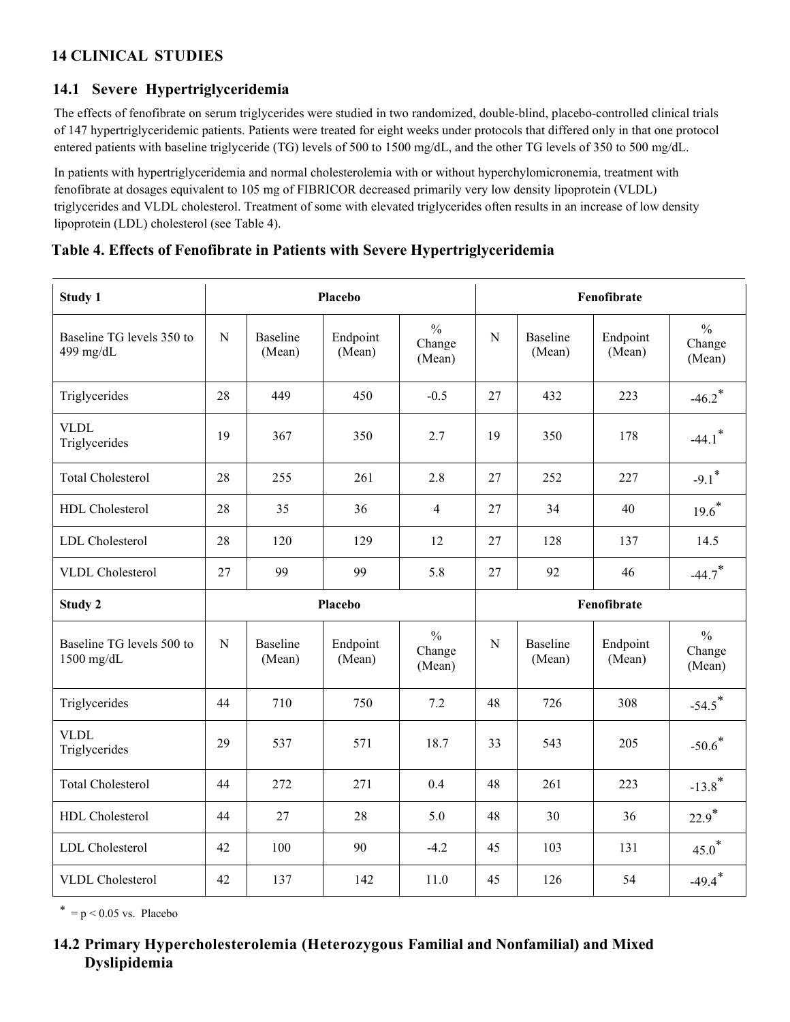# **14 CLINICAL STUDIES**

# **14.1 Severe Hypertriglyceridemia**

The effects of fenofibrate on serum triglycerides were studied in two randomized, double-blind, placebo-controlled clinical trials of 147 hypertriglyceridemic patients. Patients were treated for eight weeks under protocols that differed only in that one protocol entered patients with baseline triglyceride (TG) levels of 500 to 1500 mg/dL, and the other TG levels of 350 to 500 mg/dL.

In patients with hypertriglyceridemia and normal cholesterolemia with or without hyperchylomicronemia, treatment with fenofibrate at dosages equivalent to 105 mg of FIBRICOR decreased primarily very low density lipoprotein (VLDL) triglycerides and VLDL cholesterol. Treatment of some with elevated triglycerides often results in an increase of low density lipoprotein (LDL) cholesterol (see Table 4).

| Study 1                                   |             |                           | Placebo            | Fenofibrate                       |             |                           |                    |                                   |
|-------------------------------------------|-------------|---------------------------|--------------------|-----------------------------------|-------------|---------------------------|--------------------|-----------------------------------|
| Baseline TG levels 350 to<br>499 mg/dL    | $\mathbf N$ | <b>Baseline</b><br>(Mean) | Endpoint<br>(Mean) | $\frac{0}{0}$<br>Change<br>(Mean) | $\mathbf N$ | Baseline<br>(Mean)        | Endpoint<br>(Mean) | $\frac{0}{0}$<br>Change<br>(Mean) |
| Triglycerides                             | 28          | 449                       | 450                | $-0.5$                            | 27          | 432                       | 223                | $-46.2$ <sup>*</sup>              |
| <b>VLDL</b><br>Triglycerides              | 19          | 367                       | 350                | 2.7                               | 19          | 350                       | 178                | $-44.1$ <sup>*</sup>              |
| Total Cholesterol                         | 28          | 255                       | 261                | 2.8                               | 27          | 252                       | 227                | $-9.1$ <sup>*</sup>               |
| HDL Cholesterol                           | 28          | 35                        | 36                 | $\overline{\mathbf{4}}$           | 27          | 34                        | 40                 | $19.6*$                           |
| LDL Cholesterol                           | 28          | 120                       | 129                | 12                                | 27          | 128                       | 137                | 14.5                              |
| <b>VLDL</b> Cholesterol                   | 27          | 99                        | 99                 | 5.8                               | 27          | 92                        | 46                 | $-44.7$ <sup>*</sup>              |
|                                           |             |                           |                    |                                   | Fenofibrate |                           |                    |                                   |
| Study 2                                   |             |                           | Placebo            |                                   |             |                           |                    |                                   |
| Baseline TG levels 500 to<br>$1500$ mg/dL | $\mathbf N$ | <b>Baseline</b><br>(Mean) | Endpoint<br>(Mean) | $\frac{0}{0}$<br>Change<br>(Mean) | $\mathbf N$ | <b>Baseline</b><br>(Mean) | Endpoint<br>(Mean) | $\frac{0}{0}$<br>Change<br>(Mean) |
| Triglycerides                             | 44          | 710                       | 750                | 7.2                               | 48          | 726                       | 308                | $-54.5$ <sup>*</sup>              |
| <b>VLDL</b><br>Triglycerides              | 29          | 537                       | 571                | 18.7                              | 33          | 543                       | 205                | $-50.6$ <sup>*</sup>              |
| <b>Total Cholesterol</b>                  | 44          | 272                       | 271                | 0.4                               | 48          | 261                       | 223                | $-13.8$ <sup>*</sup>              |
| HDL Cholesterol                           | 44          | 27                        | 28                 | 5.0                               | 48          | 30                        | 36                 | $22.9*$                           |
| <b>LDL</b> Cholesterol                    | 42          | 100                       | 90                 | $-4.2$                            | 45          | 103                       | 131                | $45.0*$                           |

| Table 4. Effects of Fenofibrate in Patients with Severe Hypertriglyceridemia |  |  |  |  |  |  |  |  |  |  |  |
|------------------------------------------------------------------------------|--|--|--|--|--|--|--|--|--|--|--|
|------------------------------------------------------------------------------|--|--|--|--|--|--|--|--|--|--|--|

 $* = p < 0.05$  vs. Placebo

## **14.2 Primary Hypercholesterolemia (Heterozygous Familial and Nonfamilial) and Mixed Dyslipidemia**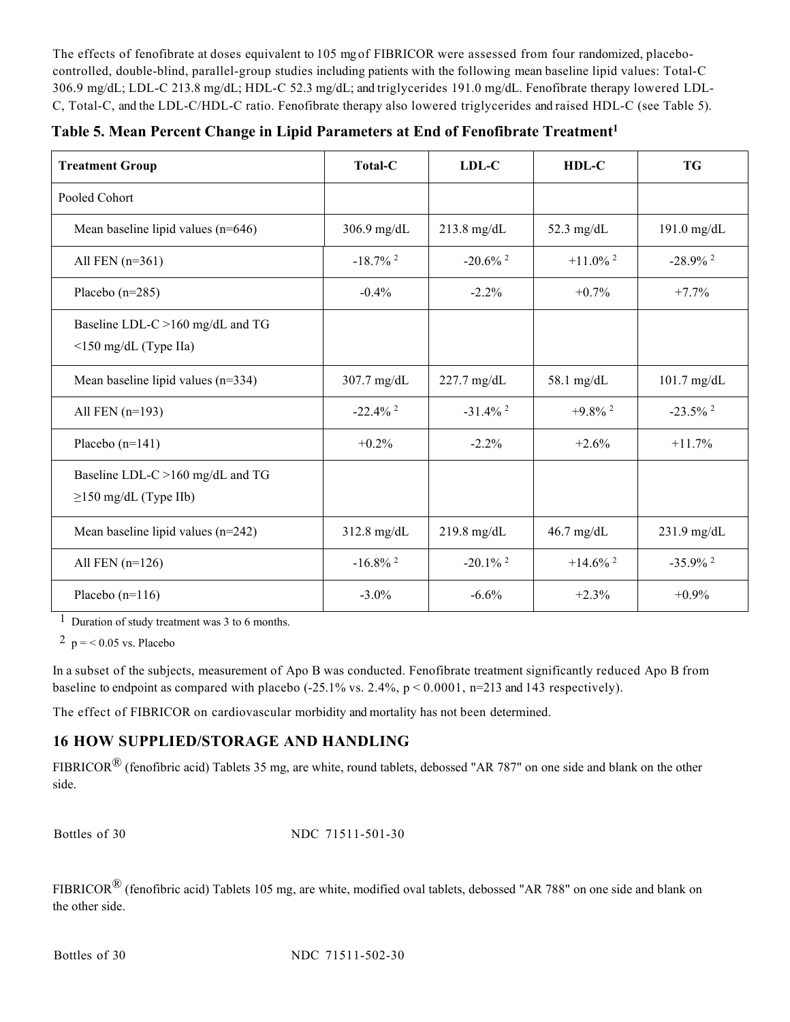The effects of fenofibrate at doses equivalent to 105 mg of FIBRICOR were assessed from four randomized, placebocontrolled, double-blind, parallel-group studies including patients with the following mean baseline lipid values: Total-C 306.9 mg/dL; LDL-C 213.8 mg/dL; HDL-C 52.3 mg/dL; and triglycerides 191.0 mg/dL. Fenofibrate therapy lowered LDL-C, Total-C, and the LDL-C/HDL-C ratio. Fenofibrate therapy also lowered triglycerides and raised HDL-C (see Table 5).

|  |  | Table 5. Mean Percent Change in Lipid Parameters at End of Fenofibrate Treatment <sup>1</sup> |  |  |
|--|--|-----------------------------------------------------------------------------------------------|--|--|
|  |  |                                                                                               |  |  |

| <b>Treatment Group</b>                                          | <b>Total-C</b>         | LDL-C                  | $HDL-C$                | <b>TG</b>              |
|-----------------------------------------------------------------|------------------------|------------------------|------------------------|------------------------|
| Pooled Cohort                                                   |                        |                        |                        |                        |
| Mean baseline lipid values $(n=646)$                            | $306.9$ mg/dL          | $213.8$ mg/dL          | 52.3 mg/d $L$          | 191.0 mg/dL            |
| All FEN $(n=361)$                                               | $-18.7\%$ <sup>2</sup> | $-20.6\%$ <sup>2</sup> | $+11.0\%$ <sup>2</sup> | $-28.9\%$ <sup>2</sup> |
| Placebo $(n=285)$                                               | $-0.4\%$               | $-2.2\%$               | $+0.7%$                | $+7.7\%$               |
| Baseline LDL-C >160 mg/dL and TG<br>$\leq$ 150 mg/dL (Type IIa) |                        |                        |                        |                        |
| Mean baseline lipid values $(n=334)$                            | $307.7$ mg/dL          | $227.7$ mg/dL          | $58.1$ mg/dL           | $101.7$ mg/dL          |
| All FEN $(n=193)$                                               | $-22.4\%$ <sup>2</sup> | $-31.4\%$ <sup>2</sup> | $+9.8\%$ <sup>2</sup>  | $-23.5\%$ <sup>2</sup> |
| Placebo $(n=141)$                                               | $+0.2%$                | $-2.2\%$               | $+2.6%$                | $+11.7%$               |
| Baseline LDL-C >160 mg/dL and TG<br>$\geq$ 150 mg/dL (Type IIb) |                        |                        |                        |                        |
| Mean baseline lipid values $(n=242)$                            | 312.8 mg/dL            | $219.8$ mg/dL          | $46.7$ mg/dL           | $231.9$ mg/dL          |
| All FEN $(n=126)$                                               | $-16.8\%$ <sup>2</sup> | $-20.1\%$ <sup>2</sup> | $+14.6\%$ <sup>2</sup> | $-35.9\%$ <sup>2</sup> |
| Placebo $(n=116)$                                               | $-3.0\%$               | $-6.6%$                | $+2.3%$                | $+0.9\%$               |

1 Duration of study treatment was 3 to 6 months.

<sup>2</sup> p = < 0.05 vs. Placebo

In a subset of the subjects, measurement of Apo B was conducted. Fenofibrate treatment significantly reduced Apo B from baseline to endpoint as compared with placebo (-25.1% vs. 2.4%,  $p < 0.0001$ , n=213 and 143 respectively).

The effect of FIBRICOR on cardiovascular morbidity and mortality has not been determined.

# **16 HOW SUPPLIED/STORAGE AND HANDLING**

FIBRICOR® (fenofibric acid) Tablets 35 mg, are white, round tablets, debossed "AR 787" on one side and blank on the other side.

Bottles of 30 NDC 71511-501-30

FIBRICOR® (fenofibric acid) Tablets 105 mg, are white, modified oval tablets, debossed "AR 788" on one side and blank on the other side.